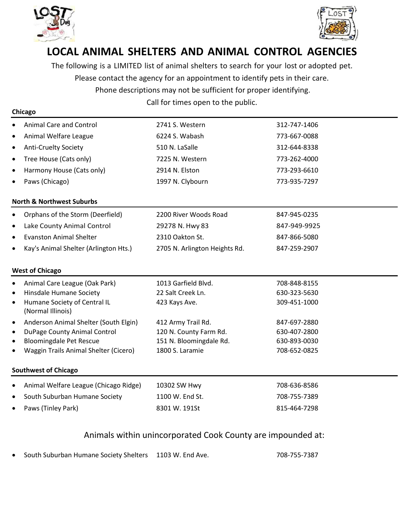

**Chicago**



## **LOCAL ANIMAL SHELTERS AND ANIMAL CONTROL AGENCIES**

The following is a LIMITED list of animal shelters to search for your lost or adopted pet. Please contact the agency for an appointment to identify pets in their care.

Phone descriptions may not be sufficient for proper identifying.

Call for times open to the public.

| <b>Animal Care and Control</b>                                 | 2741 S. Western               | 312-747-1406 |  |  |  |
|----------------------------------------------------------------|-------------------------------|--------------|--|--|--|
| Animal Welfare League                                          | 6224 S. Wabash                | 773-667-0088 |  |  |  |
| <b>Anti-Cruelty Society</b><br>$\bullet$                       | 510 N. LaSalle                | 312-644-8338 |  |  |  |
| Tree House (Cats only)                                         | 7225 N. Western               | 773-262-4000 |  |  |  |
| Harmony House (Cats only)<br>$\bullet$                         | 2914 N. Elston                | 773-293-6610 |  |  |  |
| Paws (Chicago)                                                 | 1997 N. Clybourn              | 773-935-7297 |  |  |  |
| <b>North &amp; Northwest Suburbs</b>                           |                               |              |  |  |  |
| Orphans of the Storm (Deerfield)<br>$\bullet$                  | 2200 River Woods Road         | 847-945-0235 |  |  |  |
| Lake County Animal Control<br>$\bullet$                        | 29278 N. Hwy 83               | 847-949-9925 |  |  |  |
| <b>Evanston Animal Shelter</b><br>$\bullet$                    | 2310 Oakton St.               | 847-866-5080 |  |  |  |
| Kay's Animal Shelter (Arlington Hts.)                          | 2705 N. Arlington Heights Rd. | 847-259-2907 |  |  |  |
| <b>West of Chicago</b>                                         |                               |              |  |  |  |
| Animal Care League (Oak Park)<br>$\bullet$                     | 1013 Garfield Blvd.           | 708-848-8155 |  |  |  |
| Hinsdale Humane Society                                        | 22 Salt Creek Ln.             | 630-323-5630 |  |  |  |
| Humane Society of Central IL<br>$\bullet$<br>(Normal Illinois) | 423 Kays Ave.                 | 309-451-1000 |  |  |  |
| Anderson Animal Shelter (South Elgin)<br>$\bullet$             | 412 Army Trail Rd.            | 847-697-2880 |  |  |  |
| DuPage County Animal Control                                   | 120 N. County Farm Rd.        | 630-407-2800 |  |  |  |
| <b>Bloomingdale Pet Rescue</b>                                 | 151 N. Bloomingdale Rd.       | 630-893-0030 |  |  |  |
| Waggin Trails Animal Shelter (Cicero)                          | 1800 S. Laramie               | 708-652-0825 |  |  |  |
| <b>Southwest of Chicago</b>                                    |                               |              |  |  |  |
| Animal Welfare League (Chicago Ridge)                          | 10302 SW Hwy                  | 708-636-8586 |  |  |  |
| South Suburban Humane Society                                  | 1100 W. End St.               | 708-755-7389 |  |  |  |
|                                                                |                               |              |  |  |  |

### Animals within unincorporated Cook County are impounded at:

• South Suburban Humane Society Shelters 1103 W. End Ave. 708-755-7387